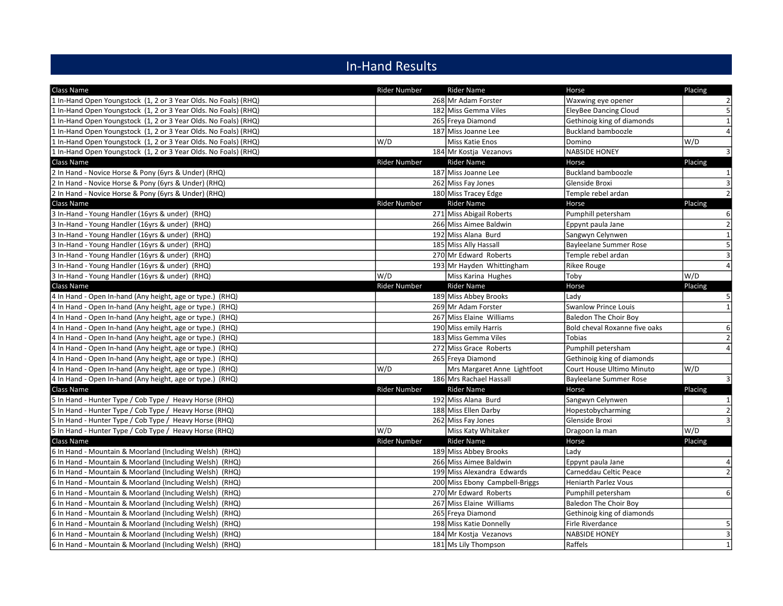## In-Hand Results

| Class Name                                                      | Rider Number        | <b>Rider Name</b>              | Horse                         | Placing          |
|-----------------------------------------------------------------|---------------------|--------------------------------|-------------------------------|------------------|
| 1 In-Hand Open Youngstock (1, 2 or 3 Year Olds. No Foals) (RHQ) |                     | 268 Mr Adam Forster            | Waxwing eye opener            | $\overline{2}$   |
| 1 In-Hand Open Youngstock (1, 2 or 3 Year Olds. No Foals) (RHQ) |                     | 182 Miss Gemma Viles           | <b>EleyBee Dancing Cloud</b>  | 5                |
| 1 In-Hand Open Youngstock (1, 2 or 3 Year Olds. No Foals) (RHQ) |                     | 265 Freya Diamond              | Gethinoig king of diamonds    | $1\overline{ }$  |
| 1 In-Hand Open Youngstock (1, 2 or 3 Year Olds. No Foals) (RHQ) |                     | 187 Miss Joanne Lee            | <b>Buckland bamboozle</b>     | $\overline{4}$   |
| 1 In-Hand Open Youngstock (1, 2 or 3 Year Olds. No Foals) (RHQ) | W/D                 | Miss Katie Enos                | Domino                        | W/D              |
| 1 In-Hand Open Youngstock (1, 2 or 3 Year Olds. No Foals) (RHQ) |                     | 184 Mr Kostja Vezanovs         | <b>NABSIDE HONEY</b>          | $\overline{3}$   |
| Class Name                                                      | <b>Rider Number</b> | <b>Rider Name</b>              | Horse                         | Placing          |
| 2 In Hand - Novice Horse & Pony (6yrs & Under) (RHQ)            |                     | 187 Miss Joanne Lee            | <b>Buckland bamboozle</b>     | $\mathbf{1}$     |
| 2 In Hand - Novice Horse & Pony (6yrs & Under) (RHQ)            |                     | 262 Miss Fay Jones             | Glenside Broxi                | $\overline{3}$   |
| 2 In Hand - Novice Horse & Pony (6yrs & Under) (RHQ)            |                     | 180 Miss Tracey Edge           | Temple rebel ardan            | $\overline{2}$   |
| Class Name                                                      | <b>Rider Number</b> | <b>Rider Name</b>              | Horse                         | Placing          |
| 3 In-Hand - Young Handler (16yrs & under) (RHQ)                 |                     | 271 Miss Abigail Roberts       | Pumphill petersham            | $6 \overline{6}$ |
| 3 In-Hand - Young Handler (16yrs & under) (RHQ)                 |                     | 266 Miss Aimee Baldwin         | Eppynt paula Jane             | $\overline{2}$   |
| 3 In-Hand - Young Handler (16yrs & under) (RHQ)                 |                     | 192 Miss Alana Burd            | Sangwyn Celynwen              | $1\overline{ }$  |
| 3 In-Hand - Young Handler (16yrs & under) (RHQ)                 |                     | 185 Miss Ally Hassall          | Bayleelane Summer Rose        | 5 <sup>1</sup>   |
| 3 In-Hand - Young Handler (16yrs & under) (RHQ)                 |                     | 270 Mr Edward Roberts          | Temple rebel ardan            | $\overline{3}$   |
| 3 In-Hand - Young Handler (16yrs & under) (RHQ)                 |                     | 193 Mr Hayden Whittingham      | <b>Rikee Rouge</b>            | $\overline{4}$   |
| 3 In-Hand - Young Handler (16yrs & under) (RHQ)                 | W/D                 | Miss Karina Hughes             | Toby                          | W/D              |
| Class Name                                                      | <b>Rider Number</b> | <b>Rider Name</b>              | Horse                         | Placing          |
| 4 In Hand - Open In-hand (Any height, age or type.) (RHQ)       |                     | 189 Miss Abbey Brooks          | Lady                          | 5 <sub>l</sub>   |
| 4 In Hand - Open In-hand (Any height, age or type.) (RHQ)       |                     | 269 Mr Adam Forster            | <b>Swanlow Prince Louis</b>   | 1                |
| 4 In Hand - Open In-hand (Any height, age or type.) (RHQ)       |                     | 267 Miss Elaine Williams       | <b>Baledon The Choir Boy</b>  |                  |
| 4 In Hand - Open In-hand (Any height, age or type.) (RHQ)       |                     | 190 Miss emily Harris          | Bold cheval Roxanne five oaks | $6 \mid$         |
| 4 In Hand - Open In-hand (Any height, age or type.) (RHQ)       |                     | 183 Miss Gemma Viles           | Tobias                        | $\overline{2}$   |
| 4 In Hand - Open In-hand (Any height, age or type.) (RHQ)       |                     | 272 Miss Grace Roberts         | Pumphill petersham            | $\overline{4}$   |
| 4 In Hand - Open In-hand (Any height, age or type.) (RHQ)       |                     | 265 Freya Diamond              | Gethinoig king of diamonds    |                  |
| 4 In Hand - Open In-hand (Any height, age or type.) (RHQ)       | W/D                 | Mrs Margaret Anne Lightfoot    | Court House Ultimo Minuto     | W/D              |
| 4 In Hand - Open In-hand (Any height, age or type.) (RHQ)       |                     | 186 Mrs Rachael Hassall        | <b>Bayleelane Summer Rose</b> | $\overline{3}$   |
| Class Name                                                      | <b>Rider Number</b> | <b>Rider Name</b>              | Horse                         | Placing          |
| 5 In Hand - Hunter Type / Cob Type / Heavy Horse (RHQ)          |                     | 192 Miss Alana Burd            | Sangwyn Celynwen              | $\mathbf{1}$     |
| 5 In Hand - Hunter Type / Cob Type / Heavy Horse (RHQ)          |                     | 188 Miss Ellen Darby           | Hopestobycharming             | $\overline{2}$   |
| 5 In Hand - Hunter Type / Cob Type / Heavy Horse (RHQ)          |                     | 262 Miss Fay Jones             | Glenside Broxi                | $\overline{3}$   |
| 5 In Hand - Hunter Type / Cob Type / Heavy Horse (RHQ)          | W/D                 | Miss Katy Whitaker             | Dragoon la man                | W/D              |
| Class Name                                                      | <b>Rider Number</b> | Rider Name                     | Horse                         | Placing          |
| 6 In Hand - Mountain & Moorland (Including Welsh) (RHQ)         |                     | 189 Miss Abbey Brooks          | Lady                          |                  |
| 6 In Hand - Mountain & Moorland (Including Welsh) (RHQ)         |                     | 266 Miss Aimee Baldwin         | Eppynt paula Jane             | $\overline{4}$   |
| 6 In Hand - Mountain & Moorland (Including Welsh) (RHQ)         |                     | 199 Miss Alexandra Edwards     | Carneddau Celtic Peace        | $\overline{2}$   |
| 6 In Hand - Mountain & Moorland (Including Welsh) (RHQ)         |                     | 200 Miss Ebony Campbell-Briggs | <b>Heniarth Parlez Vous</b>   |                  |
| 6 In Hand - Mountain & Moorland (Including Welsh) (RHQ)         |                     | 270 Mr Edward Roberts          | Pumphill petersham            | $6 \mid$         |
| 6 In Hand - Mountain & Moorland (Including Welsh) (RHQ)         |                     | 267 Miss Elaine Williams       | Baledon The Choir Boy         |                  |
| 6 In Hand - Mountain & Moorland (Including Welsh) (RHQ)         |                     | 265 Freya Diamond              | Gethinoig king of diamonds    |                  |
| 6 In Hand - Mountain & Moorland (Including Welsh) (RHQ)         |                     | 198 Miss Katie Donnelly        | Firle Riverdance              | 5 <sup>1</sup>   |
| 6 In Hand - Mountain & Moorland (Including Welsh) (RHQ)         |                     | 184 Mr Kostja Vezanovs         | <b>NABSIDE HONEY</b>          | $\overline{3}$   |
| 6 In Hand - Mountain & Moorland (Including Welsh) (RHQ)         |                     | 181 Ms Lily Thompson           | Raffels                       | 1                |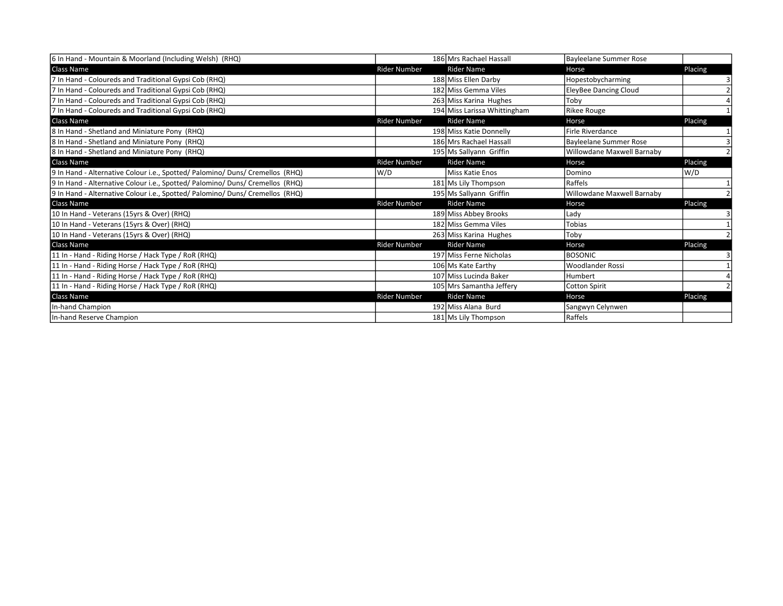| 6 In Hand - Mountain & Moorland (Including Welsh) (RHQ)                       |                     | 186 Mrs Rachael Hassall      | Bayleelane Summer Rose        |         |
|-------------------------------------------------------------------------------|---------------------|------------------------------|-------------------------------|---------|
| Class Name                                                                    | <b>Rider Number</b> | <b>Rider Name</b>            | Horse                         | Placing |
| 7 In Hand - Coloureds and Traditional Gypsi Cob (RHQ)                         |                     | 188 Miss Ellen Darby         | Hopestobycharming             |         |
| 7 In Hand - Coloureds and Traditional Gypsi Cob (RHQ)                         |                     | 182 Miss Gemma Viles         | <b>EleyBee Dancing Cloud</b>  |         |
| 7 In Hand - Coloureds and Traditional Gypsi Cob (RHQ)                         |                     | 263 Miss Karina Hughes       | Toby                          |         |
| 7 In Hand - Coloureds and Traditional Gypsi Cob (RHQ)                         |                     | 194 Miss Larissa Whittingham | <b>Rikee Rouge</b>            |         |
| <b>Class Name</b>                                                             | <b>Rider Number</b> | <b>Rider Name</b>            | Horse                         | Placing |
| 8 In Hand - Shetland and Miniature Pony (RHQ)                                 |                     | 198 Miss Katie Donnelly      | Firle Riverdance              |         |
| 8 In Hand - Shetland and Miniature Pony (RHQ)                                 |                     | 186 Mrs Rachael Hassall      | <b>Bayleelane Summer Rose</b> |         |
| 8 In Hand - Shetland and Miniature Pony (RHQ)                                 |                     | 195 Ms Sallyann Griffin      | Willowdane Maxwell Barnaby    |         |
| Class Name                                                                    | <b>Rider Number</b> | <b>Rider Name</b>            | Horse                         | Placing |
| 9 In Hand - Alternative Colour i.e., Spotted/Palomino/Duns/Cremellos (RHQ)    | W/D                 | <b>Miss Katie Enos</b>       | Domino                        | W/D     |
| 9 In Hand - Alternative Colour i.e., Spotted/ Palomino/ Duns/ Cremellos (RHQ) |                     | 181 Ms Lily Thompson         | Raffels                       |         |
| 9 In Hand - Alternative Colour i.e., Spotted/ Palomino/ Duns/ Cremellos (RHQ) |                     | 195 Ms Sallyann Griffin      | Willowdane Maxwell Barnaby    |         |
| <b>Class Name</b>                                                             | <b>Rider Number</b> | <b>Rider Name</b>            | Horse                         | Placing |
| [10 In Hand - Veterans (15yrs & Over) (RHQ)                                   |                     | 189 Miss Abbey Brooks        | Lady                          |         |
| 10 In Hand - Veterans (15yrs & Over) (RHQ)                                    |                     | 182 Miss Gemma Viles         | <b>Tobias</b>                 |         |
| [10 In Hand - Veterans (15yrs & Over) (RHQ)                                   |                     | 263 Miss Karina Hughes       | Toby                          |         |
| Class Name                                                                    | <b>Rider Number</b> | <b>Rider Name</b>            | Horse                         | Placing |
| 11 In - Hand - Riding Horse / Hack Type / RoR (RHQ)                           |                     | 197 Miss Ferne Nicholas      | <b>BOSONIC</b>                |         |
| 11 In - Hand - Riding Horse / Hack Type / RoR (RHQ)                           |                     | 106 Ms Kate Earthy           | <b>Woodlander Rossi</b>       |         |
| 11 In - Hand - Riding Horse / Hack Type / RoR (RHQ)                           |                     | 107 Miss Lucinda Baker       | Humbert                       |         |
| 11 In - Hand - Riding Horse / Hack Type / RoR (RHQ)                           |                     | 105 Mrs Samantha Jeffery     | <b>Cotton Spirit</b>          |         |
| Class Name                                                                    | <b>Rider Number</b> | Rider Name                   | Horse                         | Placing |
| In-hand Champion                                                              |                     | 192 Miss Alana Burd          | Sangwyn Celynwen              |         |
| In-hand Reserve Champion                                                      |                     | 181 Ms Lily Thompson         | Raffels                       |         |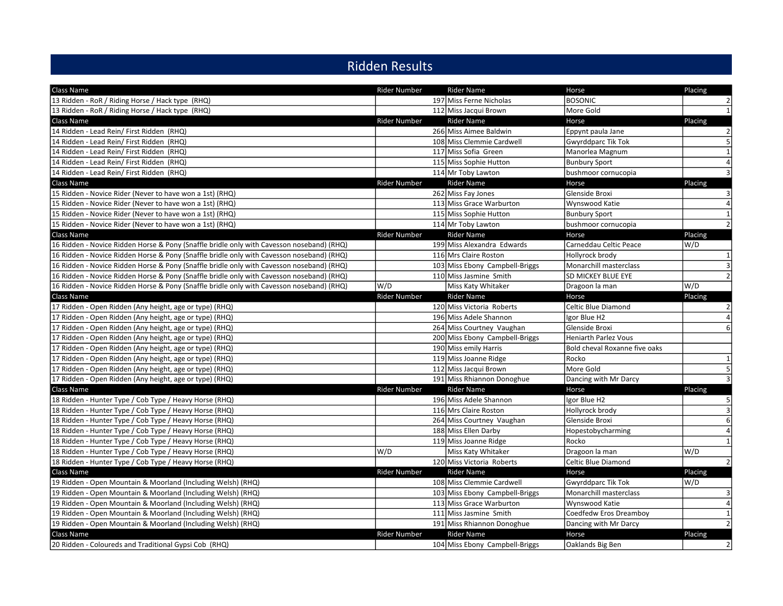## Ridden Results

| Class Name                                                                                | Rider Number        | <b>Rider Name</b>              | Horse                         | Placing          |
|-------------------------------------------------------------------------------------------|---------------------|--------------------------------|-------------------------------|------------------|
| 13 Ridden - RoR / Riding Horse / Hack type (RHQ)                                          |                     | 197 Miss Ferne Nicholas        | <b>BOSONIC</b>                | $\overline{2}$   |
| 13 Ridden - RoR / Riding Horse / Hack type (RHQ)                                          |                     | 112 Miss Jacqui Brown          | More Gold                     | $1\overline{ }$  |
| Class Name                                                                                | <b>Rider Number</b> | <b>Rider Name</b>              | Horse                         | Placing          |
| 14 Ridden - Lead Rein/ First Ridden (RHQ)                                                 |                     | 266 Miss Aimee Baldwin         | Eppynt paula Jane             | $\overline{2}$   |
| 14 Ridden - Lead Rein/ First Ridden (RHQ)                                                 |                     | 108 Miss Clemmie Cardwell      | <b>Gwyrddparc Tik Tok</b>     | 5 <sup>1</sup>   |
| 14 Ridden - Lead Rein/ First Ridden (RHQ)                                                 |                     | 117 Miss Sofia Green           | Manorlea Magnum               | $\vert$ 1        |
| 14 Ridden - Lead Rein/ First Ridden (RHQ)                                                 |                     | 115 Miss Sophie Hutton         | <b>Bunbury Sport</b>          | $\overline{a}$   |
| 14 Ridden - Lead Rein/ First Ridden (RHQ)                                                 |                     | 114 Mr Toby Lawton             | bushmoor cornucopia           | $\overline{3}$   |
| Class Name                                                                                | <b>Rider Number</b> | Rider Name                     | Horse                         | Placing          |
| 15 Ridden - Novice Rider (Never to have won a 1st) (RHQ)                                  |                     | 262 Miss Fay Jones             | Glenside Broxi                | $\overline{3}$   |
| 15 Ridden - Novice Rider (Never to have won a 1st) (RHQ)                                  |                     | 113 Miss Grace Warburton       | Wynswood Katie                | $\overline{4}$   |
| 15 Ridden - Novice Rider (Never to have won a 1st) (RHQ)                                  |                     | 115 Miss Sophie Hutton         | <b>Bunbury Sport</b>          | $1\overline{ }$  |
| 15 Ridden - Novice Rider (Never to have won a 1st) (RHQ)                                  |                     | 114 Mr Toby Lawton             | bushmoor cornucopia           | $\overline{2}$   |
| <b>Class Name</b>                                                                         | <b>Rider Number</b> | <b>Rider Name</b>              | Horse                         | Placing          |
| 16 Ridden - Novice Ridden Horse & Pony (Snaffle bridle only with Cavesson noseband) (RHQ) |                     | 199 Miss Alexandra Edwards     | Carneddau Celtic Peace        | W/D              |
| 16 Ridden - Novice Ridden Horse & Pony (Snaffle bridle only with Cavesson noseband) (RHQ) |                     | 116 Mrs Claire Roston          | Hollyrock brody               | $1\overline{ }$  |
| 16 Ridden - Novice Ridden Horse & Pony (Snaffle bridle only with Cavesson noseband) (RHQ) |                     | 103 Miss Ebony Campbell-Briggs | Monarchill masterclass        | $\overline{3}$   |
| 16 Ridden - Novice Ridden Horse & Pony (Snaffle bridle only with Cavesson noseband) (RHQ) |                     | 110 Miss Jasmine Smith         | SD MICKEY BLUE EYE            | $\overline{2}$   |
| 16 Ridden - Novice Ridden Horse & Pony (Snaffle bridle only with Cavesson noseband) (RHQ) | W/D                 | Miss Katy Whitaker             | Dragoon la man                | W/D              |
| Class Name                                                                                | <b>Rider Number</b> | <b>Rider Name</b>              | Horse                         | Placing          |
| 17 Ridden - Open Ridden (Any height, age or type) (RHQ)                                   |                     | 120 Miss Victoria Roberts      | <b>Celtic Blue Diamond</b>    | $\overline{2}$   |
| 17 Ridden - Open Ridden (Any height, age or type) (RHQ)                                   |                     | 196 Miss Adele Shannon         | Igor Blue H2                  | $\overline{4}$   |
| 17 Ridden - Open Ridden (Any height, age or type) (RHQ)                                   |                     | 264 Miss Courtney Vaughan      | Glenside Broxi                | $6 \overline{6}$ |
| 17 Ridden - Open Ridden (Any height, age or type) (RHQ)                                   |                     | 200 Miss Ebony Campbell-Briggs | <b>Heniarth Parlez Vous</b>   |                  |
| 17 Ridden - Open Ridden (Any height, age or type) (RHQ)                                   |                     | 190 Miss emily Harris          | Bold cheval Roxanne five oaks |                  |
| 17 Ridden - Open Ridden (Any height, age or type) (RHQ)                                   |                     | 119 Miss Joanne Ridge          | Rocko                         | $1\vert$         |
| 17 Ridden - Open Ridden (Any height, age or type) (RHQ)                                   |                     | 112 Miss Jacqui Brown          | More Gold                     | $5\overline{)}$  |
| 17 Ridden - Open Ridden (Any height, age or type) (RHQ)                                   |                     | 191 Miss Rhiannon Donoghue     | Dancing with Mr Darcy         | $\overline{3}$   |
| Class Name                                                                                | Rider Number        | <b>Rider Name</b>              | Horse                         | Placing          |
| 18 Ridden - Hunter Type / Cob Type / Heavy Horse (RHQ)                                    |                     | 196 Miss Adele Shannon         | Igor Blue H2                  | 5 <sub>l</sub>   |
| 18 Ridden - Hunter Type / Cob Type / Heavy Horse (RHQ)                                    |                     | 116 Mrs Claire Roston          | Hollyrock brody               | $\overline{3}$   |
| 18 Ridden - Hunter Type / Cob Type / Heavy Horse (RHQ)                                    |                     | 264 Miss Courtney Vaughan      | Glenside Broxi                | $6 \mid$         |
| 18 Ridden - Hunter Type / Cob Type / Heavy Horse (RHQ)                                    |                     | 188 Miss Ellen Darby           | Hopestobycharming             | $\overline{4}$   |
| 18 Ridden - Hunter Type / Cob Type / Heavy Horse (RHQ)                                    |                     | 119 Miss Joanne Ridge          | Rocko                         | $1\overline{ }$  |
| 18 Ridden - Hunter Type / Cob Type / Heavy Horse (RHQ)                                    | W/D                 | Miss Katy Whitaker             | Dragoon la man                | W/D              |
| 18 Ridden - Hunter Type / Cob Type / Heavy Horse (RHQ)                                    |                     | 120 Miss Victoria Roberts      | Celtic Blue Diamond           | 2                |
| <b>Class Name</b>                                                                         | <b>Rider Number</b> | <b>Rider Name</b>              | Horse                         | Placing          |
| 19 Ridden - Open Mountain & Moorland (Including Welsh) (RHQ)                              |                     | 108 Miss Clemmie Cardwell      | <b>Gwyrddparc Tik Tok</b>     | W/D              |
| 19 Ridden - Open Mountain & Moorland (Including Welsh) (RHQ)                              |                     | 103 Miss Ebony Campbell-Briggs | Monarchill masterclass        | $\overline{3}$   |
| 19 Ridden - Open Mountain & Moorland (Including Welsh) (RHQ)                              |                     | 113 Miss Grace Warburton       | Wynswood Katie                | $\overline{4}$   |
| 19 Ridden - Open Mountain & Moorland (Including Welsh) (RHQ)                              |                     | 111 Miss Jasmine Smith         | Coedfedw Eros Dreamboy        | $\mathbf{1}$     |
| 19 Ridden - Open Mountain & Moorland (Including Welsh) (RHQ)                              |                     | 191 Miss Rhiannon Donoghue     | Dancing with Mr Darcy         | $\overline{2}$   |
| Class Name                                                                                | <b>Rider Number</b> | <b>Rider Name</b>              | Horse                         | Placing          |
| 20 Ridden - Coloureds and Traditional Gypsi Cob (RHQ)                                     |                     | 104 Miss Ebony Campbell-Briggs | <b>Oaklands Big Ben</b>       | $\overline{2}$   |